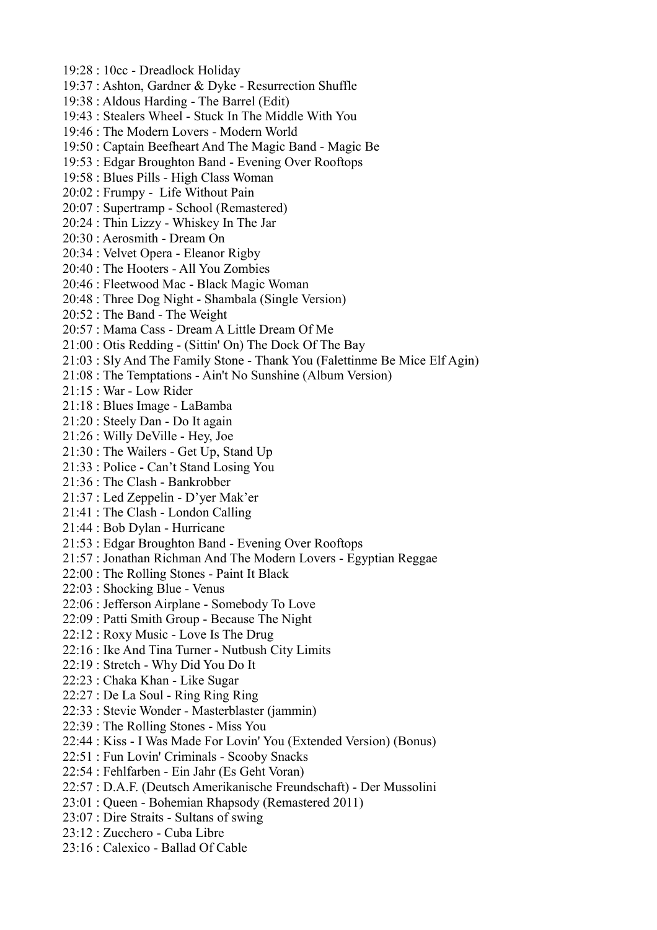- 19:28 : 10cc Dreadlock Holiday
- 19:37 : Ashton, Gardner & Dyke Resurrection Shuffle
- 19:38 : Aldous Harding The Barrel (Edit)
- 19:43 : Stealers Wheel Stuck In The Middle With You
- 19:46 : The Modern Lovers Modern World
- 19:50 : Captain Beefheart And The Magic Band Magic Be
- 19:53 : Edgar Broughton Band Evening Over Rooftops
- 19:58 : Blues Pills High Class Woman
- 20:02 : Frumpy Life Without Pain
- 20:07 : Supertramp School (Remastered)
- 20:24 : Thin Lizzy Whiskey In The Jar
- 20:30 : Aerosmith Dream On
- 20:34 : Velvet Opera Eleanor Rigby
- 20:40 : The Hooters All You Zombies
- 20:46 : Fleetwood Mac Black Magic Woman
- 20:48 : Three Dog Night Shambala (Single Version)
- 20:52 : The Band The Weight
- 20:57 : Mama Cass Dream A Little Dream Of Me
- 21:00 : Otis Redding (Sittin' On) The Dock Of The Bay
- 21:03 : Sly And The Family Stone Thank You (Falettinme Be Mice Elf Agin)
- 21:08 : The Temptations Ain't No Sunshine (Album Version)
- 21:15 : War Low Rider
- 21:18 : Blues Image LaBamba
- 21:20 : Steely Dan Do It again
- 21:26 : Willy DeVille Hey, Joe
- 21:30 : The Wailers Get Up, Stand Up
- 21:33 : Police Can't Stand Losing You
- 21:36 : The Clash Bankrobber
- 21:37 : Led Zeppelin D'yer Mak'er
- 21:41 : The Clash London Calling
- 21:44 : Bob Dylan Hurricane
- 21:53 : Edgar Broughton Band Evening Over Rooftops
- 21:57 : Jonathan Richman And The Modern Lovers Egyptian Reggae
- 22:00 : The Rolling Stones Paint It Black
- 22:03 : Shocking Blue Venus
- 22:06 : Jefferson Airplane Somebody To Love
- 22:09 : Patti Smith Group Because The Night
- 22:12 : Roxy Music Love Is The Drug
- 22:16 : Ike And Tina Turner Nutbush City Limits
- 22:19 : Stretch Why Did You Do It
- 22:23 : Chaka Khan Like Sugar
- 22:27 : De La Soul Ring Ring Ring
- 22:33 : Stevie Wonder Masterblaster (jammin)
- 22:39 : The Rolling Stones Miss You
- 22:44 : Kiss I Was Made For Lovin' You (Extended Version) (Bonus)
- 22:51 : Fun Lovin' Criminals Scooby Snacks
- 22:54 : Fehlfarben Ein Jahr (Es Geht Voran)
- 22:57 : D.A.F. (Deutsch Amerikanische Freundschaft) Der Mussolini
- 23:01 : Queen Bohemian Rhapsody (Remastered 2011)
- 23:07 : Dire Straits Sultans of swing
- 23:12 : Zucchero Cuba Libre
- 23:16 : Calexico Ballad Of Cable